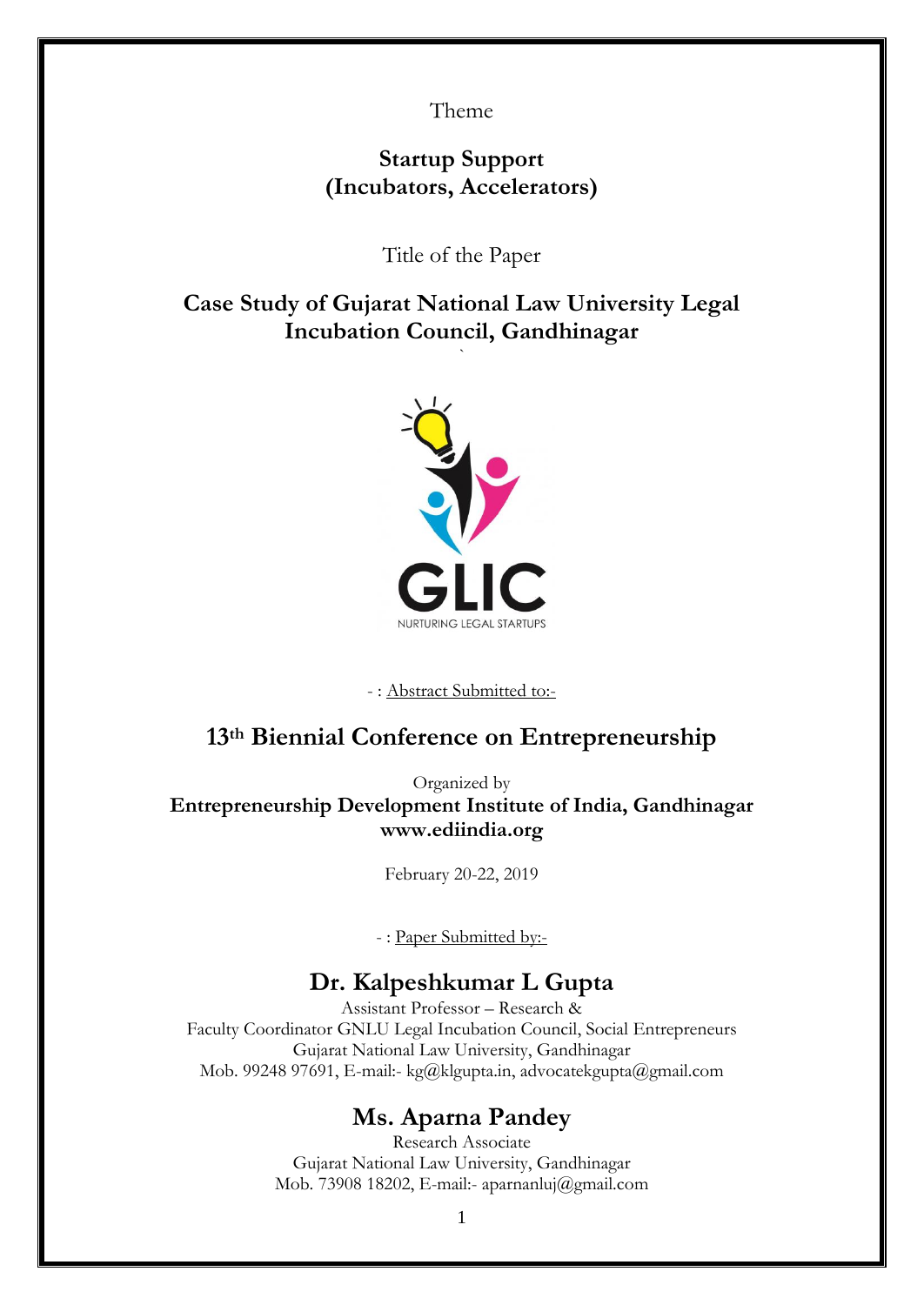Theme

# **Startup Support (Incubators, Accelerators)**

Title of the Paper

**Case Study of Gujarat National Law University Legal Incubation Council, Gandhinagar**

`



- : Abstract Submitted to:-

# **13th Biennial Conference on Entrepreneurship**

Organized by **Entrepreneurship Development Institute of India, Gandhinagar www.ediindia.org** 

February 20-22, 2019

- : Paper Submitted by:-

# **Dr. Kalpeshkumar L Gupta**

Assistant Professor – Research & Faculty Coordinator GNLU Legal Incubation Council, Social Entrepreneurs Gujarat National Law University, Gandhinagar Mob. 99248 97691, E-mail:- kg@klgupta.in, advocatekgupta@gmail.com

# **Ms. Aparna Pandey**

Research Associate Gujarat National Law University, Gandhinagar Mob. 73908 18202, E-mail:- aparnanluj@gmail.com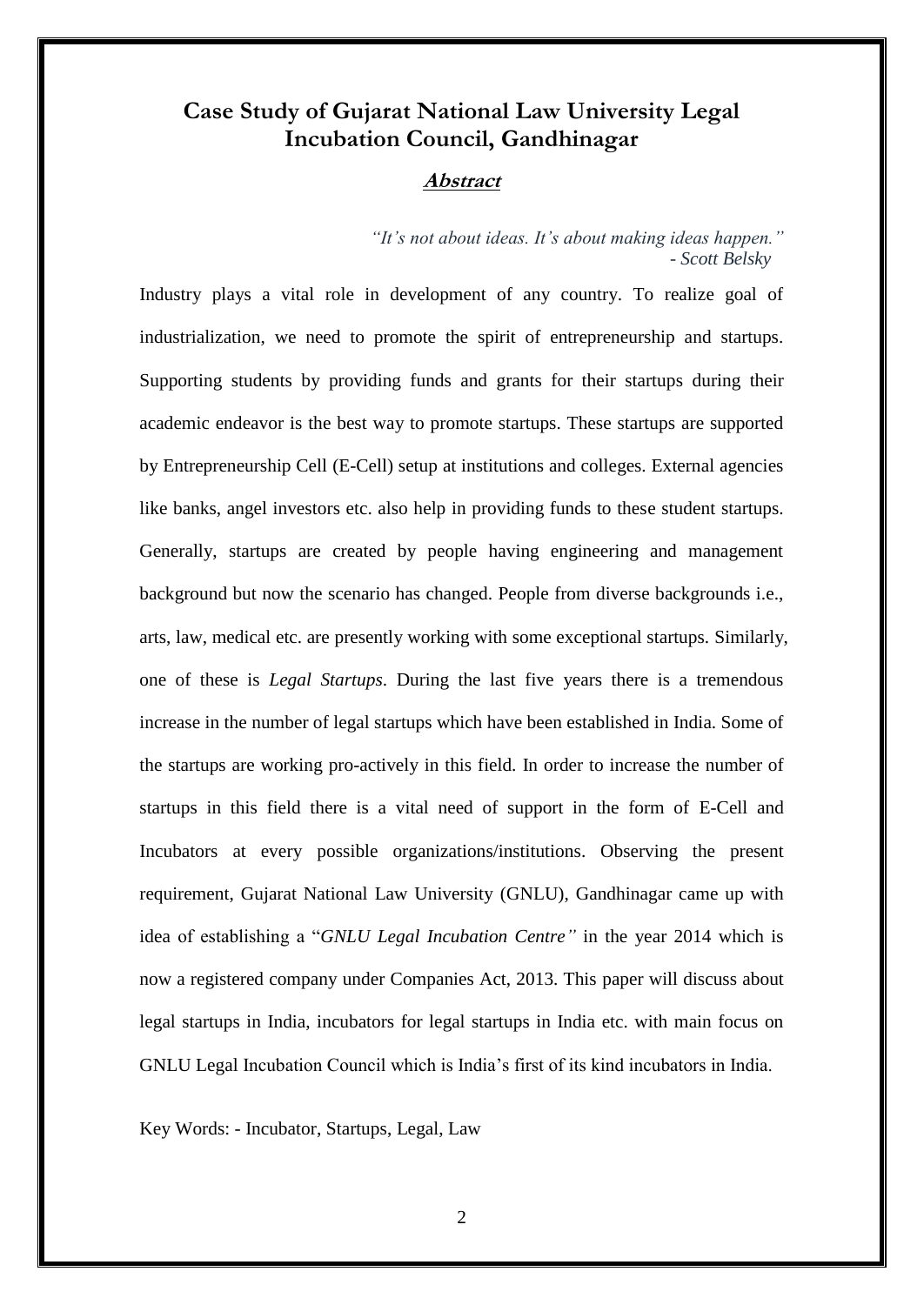# **Case Study of Gujarat National Law University Legal Incubation Council, Gandhinagar**

## **Abstract**

*"It's not about ideas. It's about making ideas happen."* - *Scott Belsky*

Industry plays a vital role in development of any country. To realize goal of industrialization, we need to promote the spirit of entrepreneurship and startups. Supporting students by providing funds and grants for their startups during their academic endeavor is the best way to promote startups. These startups are supported by Entrepreneurship Cell (E-Cell) setup at institutions and colleges. External agencies like banks, angel investors etc. also help in providing funds to these student startups. Generally, startups are created by people having engineering and management background but now the scenario has changed. People from diverse backgrounds i.e., arts, law, medical etc. are presently working with some exceptional startups. Similarly, one of these is *Legal Startups*. During the last five years there is a tremendous increase in the number of legal startups which have been established in India. Some of the startups are working pro-actively in this field. In order to increase the number of startups in this field there is a vital need of support in the form of E-Cell and Incubators at every possible organizations/institutions. Observing the present requirement, Gujarat National Law University (GNLU), Gandhinagar came up with idea of establishing a "*GNLU Legal Incubation Centre"* in the year 2014 which is now a registered company under Companies Act, 2013. This paper will discuss about legal startups in India, incubators for legal startups in India etc. with main focus on GNLU Legal Incubation Council which is India's first of its kind incubators in India.

Key Words: - Incubator, Startups, Legal, Law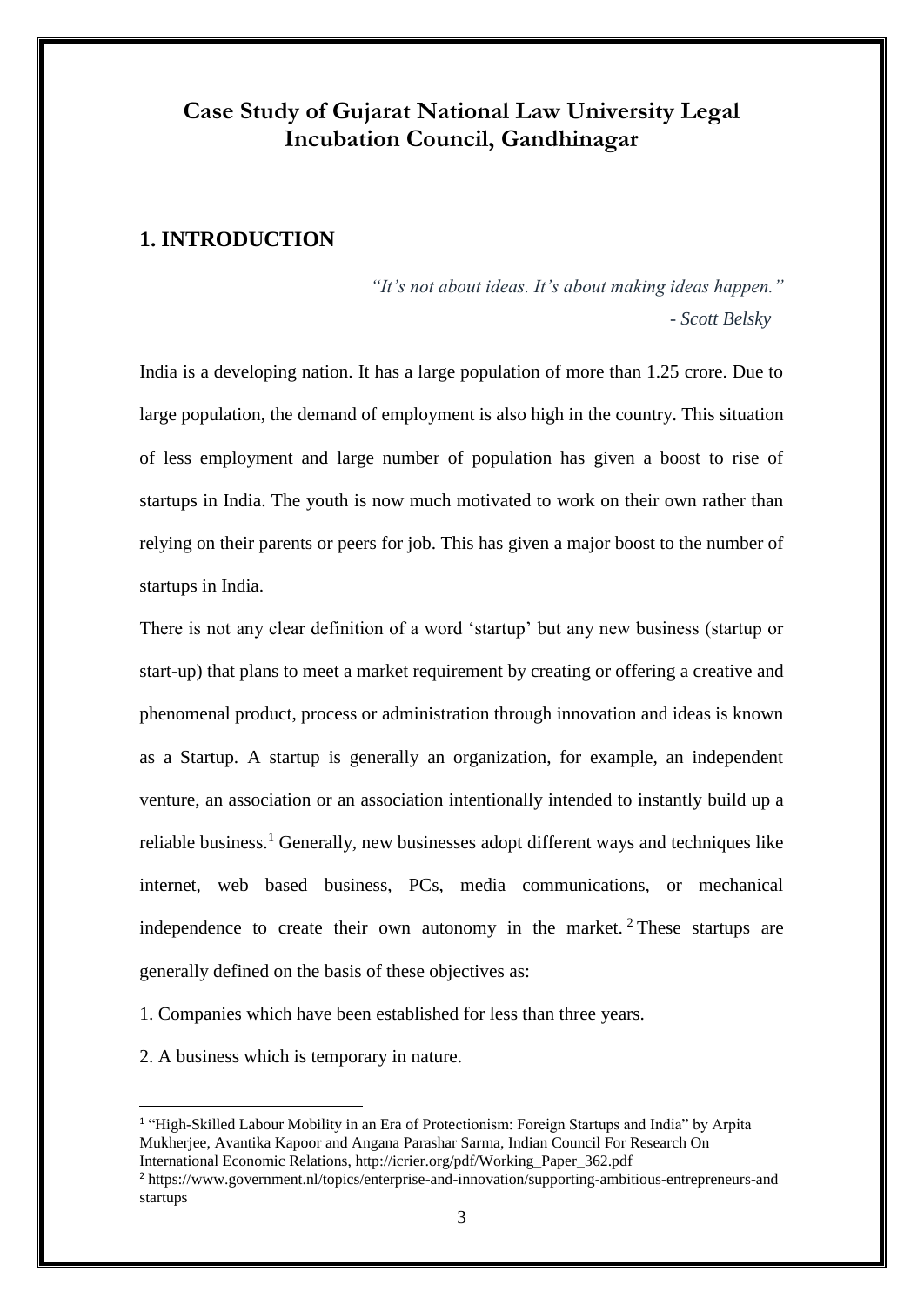# **Case Study of Gujarat National Law University Legal Incubation Council, Gandhinagar**

# **1. INTRODUCTION**

*"It's not about ideas. It's about making ideas happen."* - *Scott Belsky*

India is a developing nation. It has a large population of more than 1.25 crore. Due to large population, the demand of employment is also high in the country. This situation of less employment and large number of population has given a boost to rise of startups in India. The youth is now much motivated to work on their own rather than relying on their parents or peers for job. This has given a major boost to the number of startups in India.

There is not any clear definition of a word 'startup' but any new business (startup or start-up) that plans to meet a market requirement by creating or offering a creative and phenomenal product, process or administration through innovation and ideas is known as a Startup. A startup is generally an organization, for example, an independent venture, an association or an association intentionally intended to instantly build up a reliable business.<sup>1</sup> Generally, new businesses adopt different ways and techniques like internet, web based business, PCs, media communications, or mechanical independence to create their own autonomy in the market. <sup>2</sup> These startups are generally defined on the basis of these objectives as:

1. Companies which have been established for less than three years.

2. A business which is temporary in nature.

<sup>&</sup>lt;sup>1</sup> "High-Skilled Labour Mobility in an Era of Protectionism: Foreign Startups and India" by Arpita Mukherjee, Avantika Kapoor and Angana Parashar Sarma, Indian Council For Research On International Economic Relations, http://icrier.org/pdf/Working\_Paper\_362.pdf

<sup>2</sup> https://www.government.nl/topics/enterprise-and-innovation/supporting-ambitious-entrepreneurs-and startups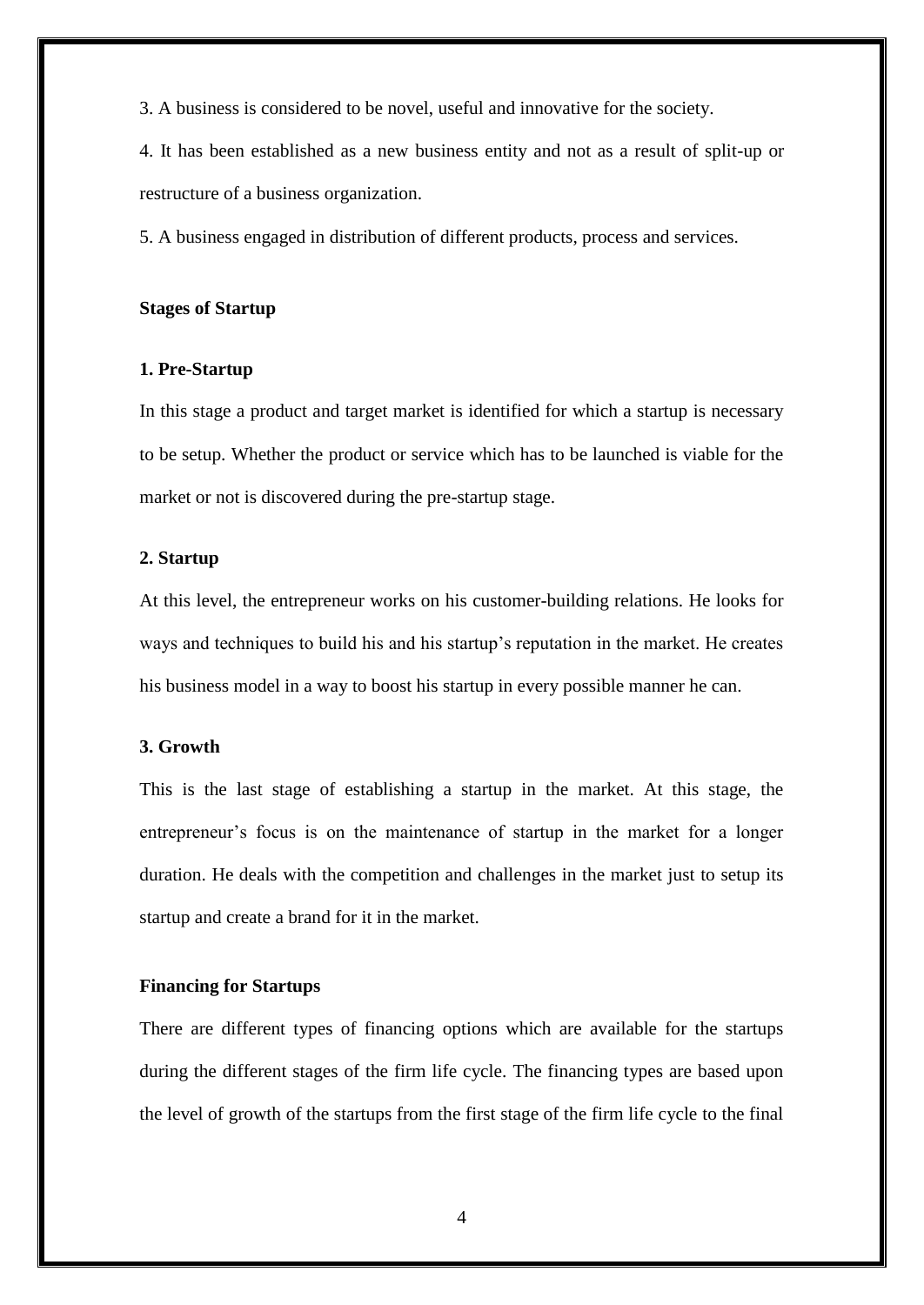3. A business is considered to be novel, useful and innovative for the society.

4. It has been established as a new business entity and not as a result of split-up or restructure of a business organization.

5. A business engaged in distribution of different products, process and services.

#### **Stages of Startup**

#### **1. Pre-Startup**

In this stage a product and target market is identified for which a startup is necessary to be setup. Whether the product or service which has to be launched is viable for the market or not is discovered during the pre-startup stage.

#### **2. Startup**

At this level, the entrepreneur works on his customer-building relations. He looks for ways and techniques to build his and his startup's reputation in the market. He creates his business model in a way to boost his startup in every possible manner he can.

#### **3. Growth**

This is the last stage of establishing a startup in the market. At this stage, the entrepreneur's focus is on the maintenance of startup in the market for a longer duration. He deals with the competition and challenges in the market just to setup its startup and create a brand for it in the market.

#### **Financing for Startups**

There are different types of financing options which are available for the startups during the different stages of the firm life cycle. The financing types are based upon the level of growth of the startups from the first stage of the firm life cycle to the final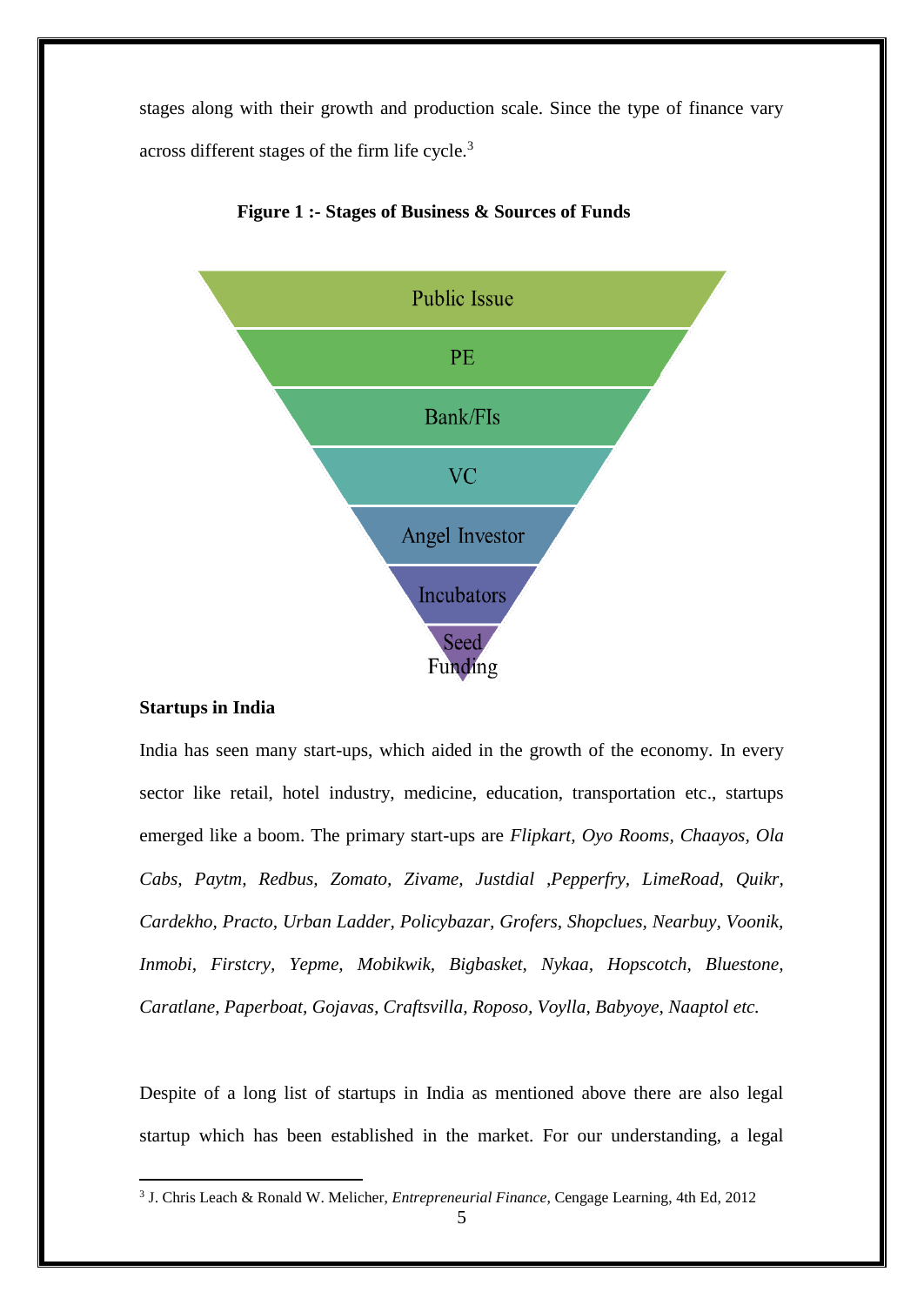stages along with their growth and production scale. Since the type of finance vary across different stages of the firm life cycle.<sup>3</sup>



 **Figure 1 :- Stages of Business & Sources of Funds**

#### **Startups in India**

<u>.</u>

India has seen many start-ups, which aided in the growth of the economy. In every sector like retail, hotel industry, medicine, education, transportation etc., startups emerged like a boom. The primary start-ups are *Flipkart, Oyo Rooms, Chaayos, Ola Cabs, Paytm, Redbus, Zomato, Zivame, Justdial ,Pepperfry, LimeRoad, Quikr, Cardekho, Practo, Urban Ladder, Policybazar, Grofers, Shopclues, Nearbuy, Voonik, Inmobi, Firstcry, Yepme, Mobikwik, Bigbasket, Nykaa, Hopscotch, Bluestone, Caratlane, Paperboat, Gojavas, Craftsvilla, Roposo, Voylla, Babyoye, Naaptol etc.*

Despite of a long list of startups in India as mentioned above there are also legal startup which has been established in the market. For our understanding, a legal

<sup>3</sup> J. Chris Leach & Ronald W. Melicher, *Entrepreneurial Finance*, Cengage Learning, 4th Ed, 2012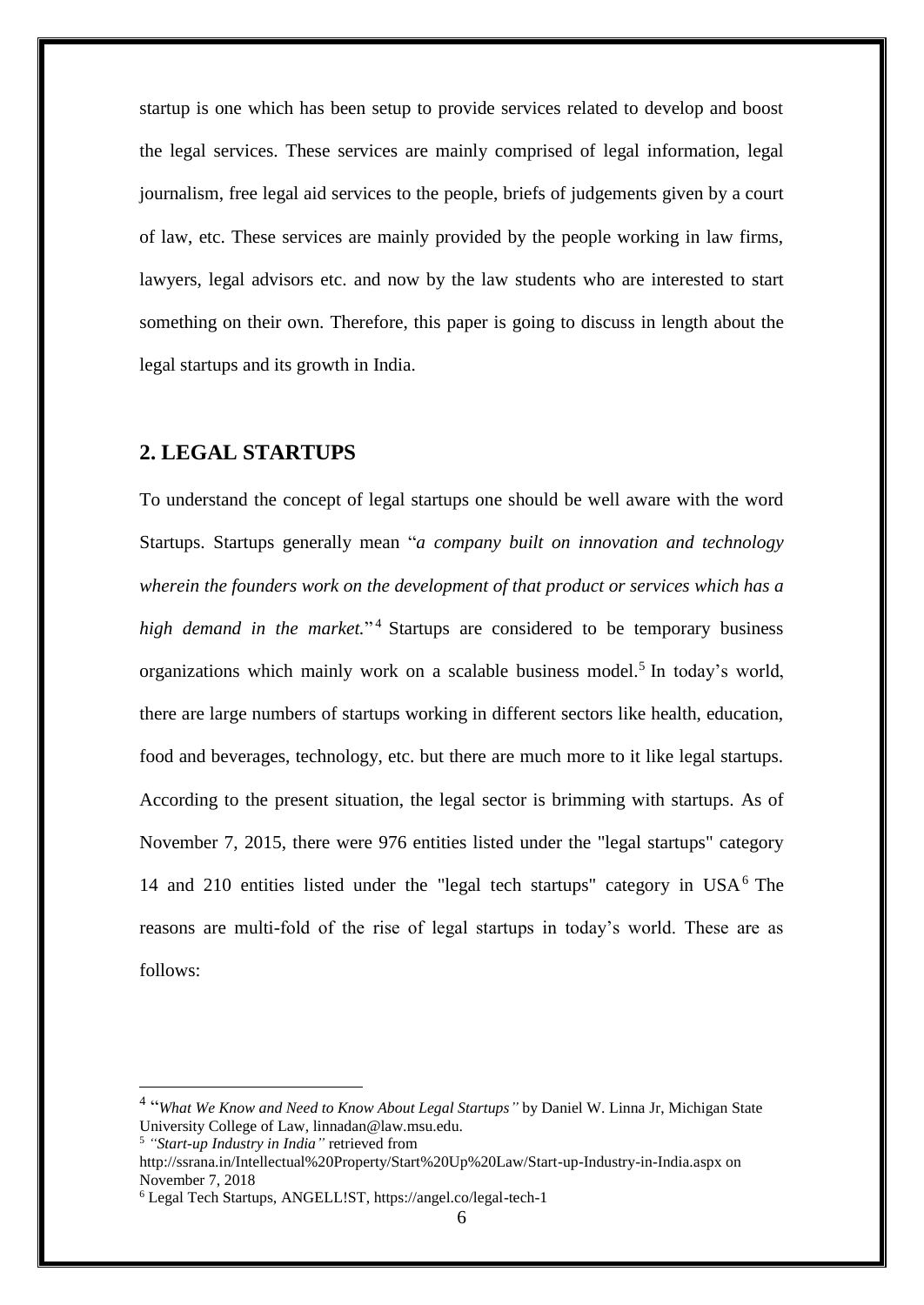startup is one which has been setup to provide services related to develop and boost the legal services. These services are mainly comprised of legal information, legal journalism, free legal aid services to the people, briefs of judgements given by a court of law, etc. These services are mainly provided by the people working in law firms, lawyers, legal advisors etc. and now by the law students who are interested to start something on their own. Therefore, this paper is going to discuss in length about the legal startups and its growth in India.

# **2. LEGAL STARTUPS**

To understand the concept of legal startups one should be well aware with the word Startups. Startups generally mean "*a company built on innovation and technology wherein the founders work on the development of that product or services which has a high demand in the market.*" <sup>4</sup> Startups are considered to be temporary business organizations which mainly work on a scalable business model.<sup>5</sup> In today's world, there are large numbers of startups working in different sectors like health, education, food and beverages, technology, etc. but there are much more to it like legal startups. According to the present situation, the legal sector is brimming with startups. As of November 7, 2015, there were 976 entities listed under the "legal startups" category 14 and 210 entities listed under the "legal tech startups" category in  $USA<sup>6</sup>$  The reasons are multi-fold of the rise of legal startups in today's world. These are as follows:

<sup>4</sup> "*What We Know and Need to Know About Legal Startups"* by Daniel W. Linna Jr, Michigan State University College of Law, linnadan@law.msu.edu.

<sup>5</sup> *"Start-up Industry in India"* retrieved from

http://ssrana.in/Intellectual%20Property/Start%20Up%20Law/Start-up-Industry-in-India.aspx on November 7, 2018

<sup>6</sup> Legal Tech Startups, ANGELL!ST, https://angel.co/legal-tech-1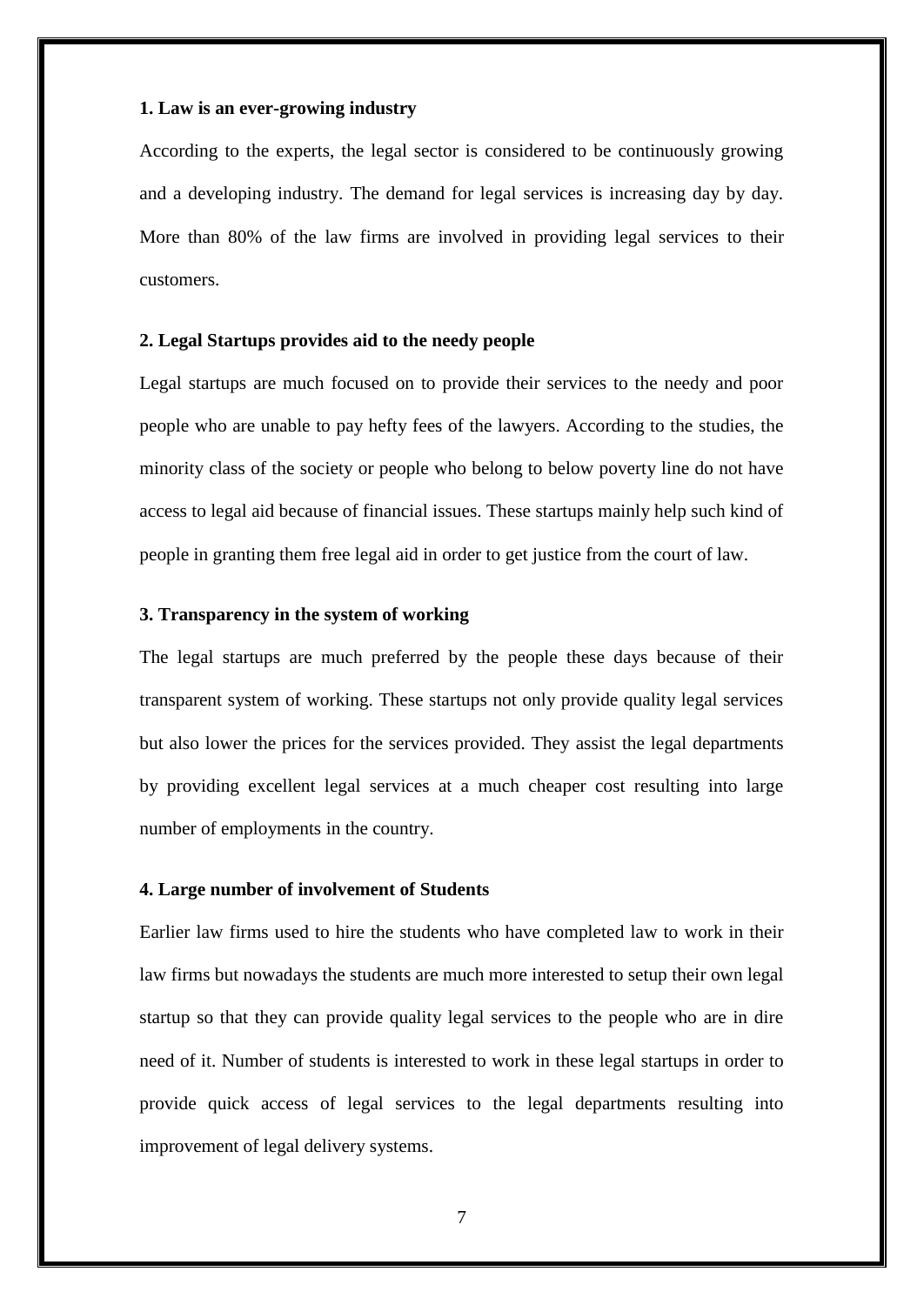#### **1. Law is an ever-growing industry**

According to the experts, the legal sector is considered to be continuously growing and a developing industry. The demand for legal services is increasing day by day. More than 80% of the law firms are involved in providing legal services to their customers.

#### **2. Legal Startups provides aid to the needy people**

Legal startups are much focused on to provide their services to the needy and poor people who are unable to pay hefty fees of the lawyers. According to the studies, the minority class of the society or people who belong to below poverty line do not have access to legal aid because of financial issues. These startups mainly help such kind of people in granting them free legal aid in order to get justice from the court of law.

## **3. Transparency in the system of working**

The legal startups are much preferred by the people these days because of their transparent system of working. These startups not only provide quality legal services but also lower the prices for the services provided. They assist the legal departments by providing excellent legal services at a much cheaper cost resulting into large number of employments in the country.

#### **4. Large number of involvement of Students**

Earlier law firms used to hire the students who have completed law to work in their law firms but nowadays the students are much more interested to setup their own legal startup so that they can provide quality legal services to the people who are in dire need of it. Number of students is interested to work in these legal startups in order to provide quick access of legal services to the legal departments resulting into improvement of legal delivery systems.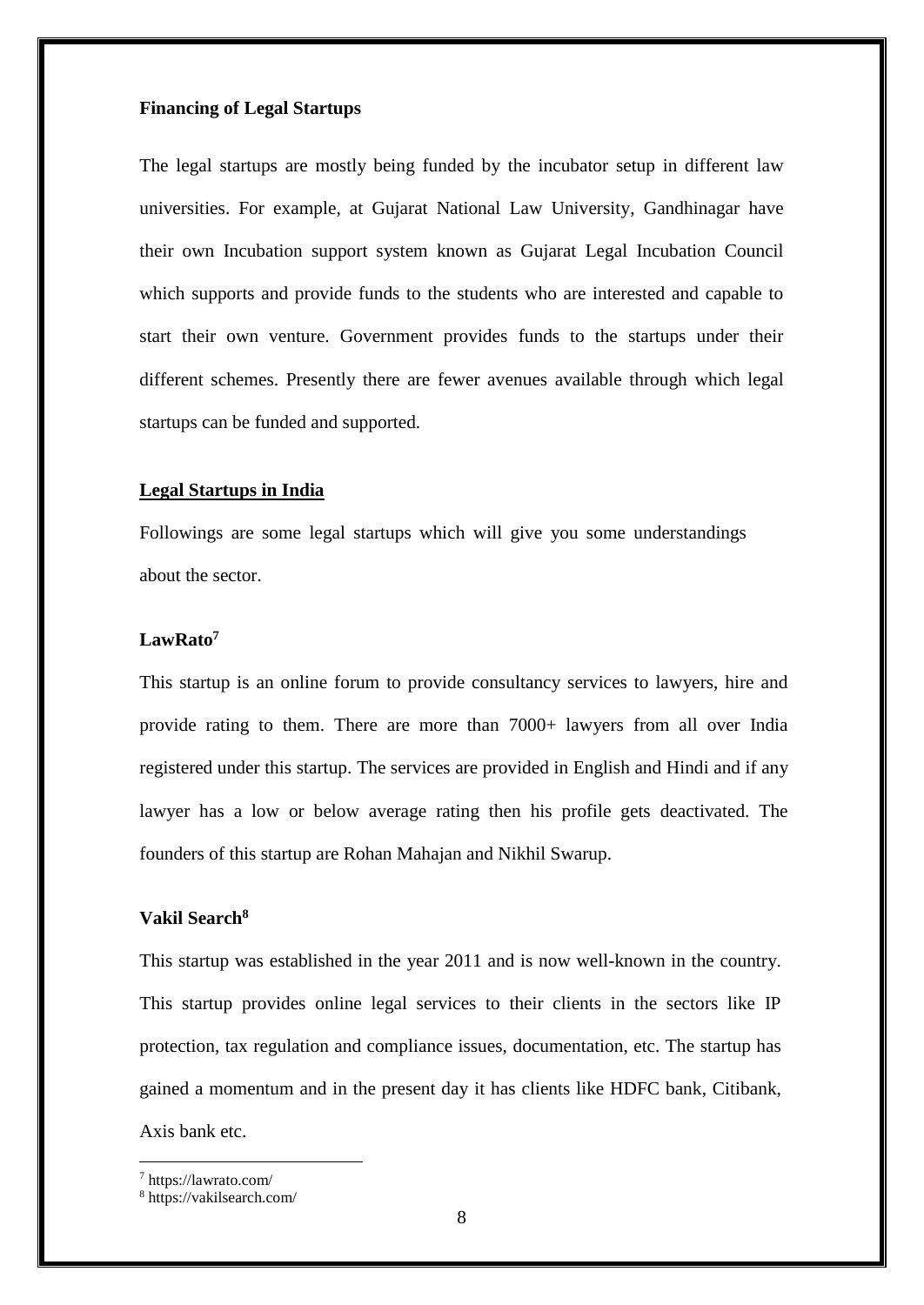## **Financing of Legal Startups**

The legal startups are mostly being funded by the incubator setup in different law universities. For example, at Gujarat National Law University, Gandhinagar have their own Incubation support system known as Gujarat Legal Incubation Council which supports and provide funds to the students who are interested and capable to start their own venture. Government provides funds to the startups under their different schemes. Presently there are fewer avenues available through which legal startups can be funded and supported.

#### **Legal Startups in India**

Followings are some legal startups which will give you some understandings about the sector.

#### **LawRato<sup>7</sup>**

This startup is an online forum to provide consultancy services to lawyers, hire and provide rating to them. There are more than 7000+ lawyers from all over India registered under this startup. The services are provided in English and Hindi and if any lawyer has a low or below average rating then his profile gets deactivated. The founders of this startup are Rohan Mahajan and Nikhil Swarup.

#### **Vakil Search<sup>8</sup>**

This startup was established in the year 2011 and is now well-known in the country. This startup provides online legal services to their clients in the sectors like IP protection, tax regulation and compliance issues, documentation, etc. The startup has gained a momentum and in the present day it has clients like HDFC bank, Citibank, Axis bank etc.

<sup>7</sup> https://lawrato.com/

<sup>8</sup> https://vakilsearch.com/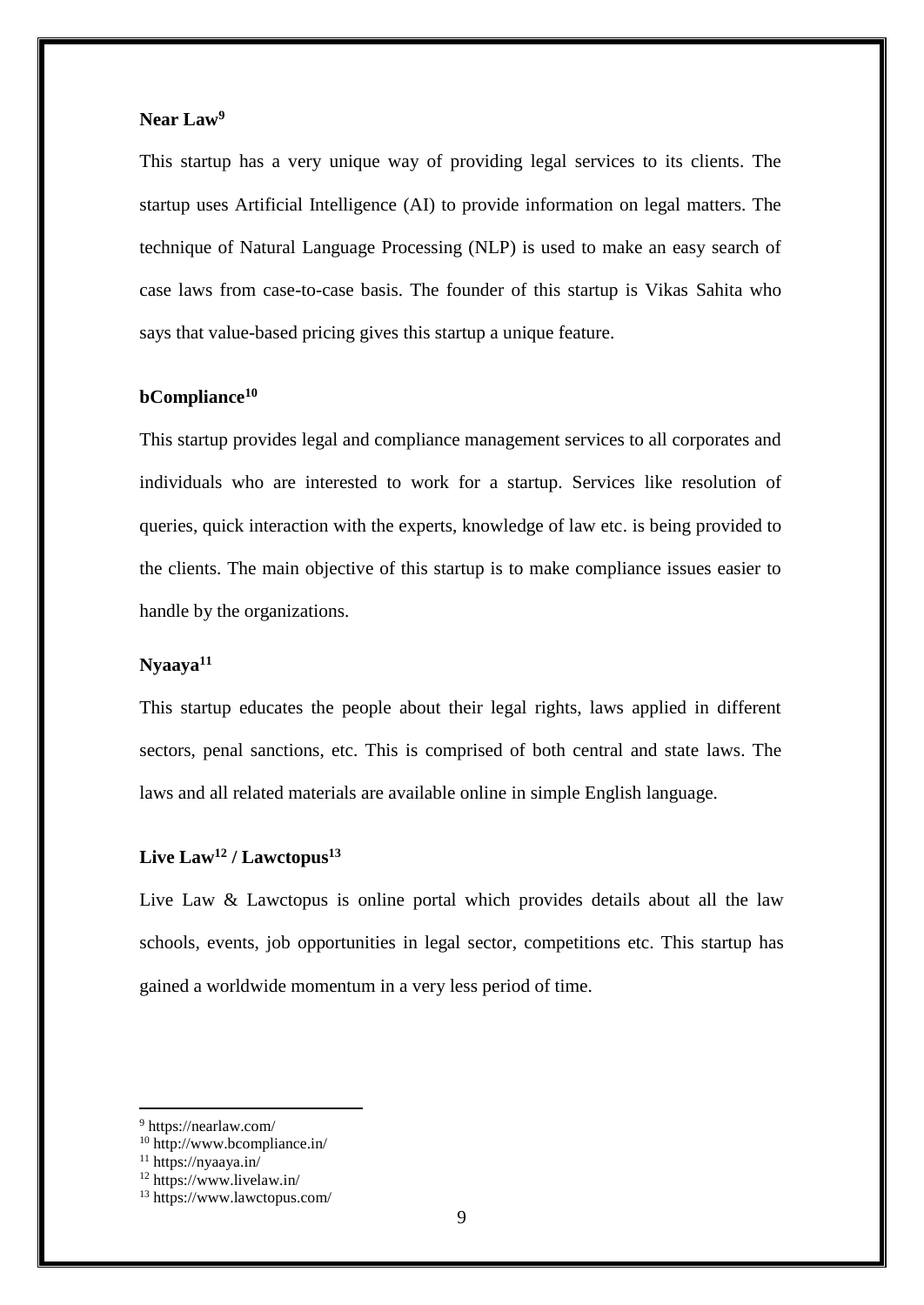# **Near Law<sup>9</sup>**

This startup has a very unique way of providing legal services to its clients. The startup uses Artificial Intelligence (AI) to provide information on legal matters. The technique of Natural Language Processing (NLP) is used to make an easy search of case laws from case-to-case basis. The founder of this startup is Vikas Sahita who says that value-based pricing gives this startup a unique feature.

#### **bCompliance<sup>10</sup>**

This startup provides legal and compliance management services to all corporates and individuals who are interested to work for a startup. Services like resolution of queries, quick interaction with the experts, knowledge of law etc. is being provided to the clients. The main objective of this startup is to make compliance issues easier to handle by the organizations.

#### **Nyaaya<sup>11</sup>**

This startup educates the people about their legal rights, laws applied in different sectors, penal sanctions, etc. This is comprised of both central and state laws. The laws and all related materials are available online in simple English language.

#### **Live Law<sup>12</sup> / Lawctopus<sup>13</sup>**

Live Law & Lawctopus is online portal which provides details about all the law schools, events, job opportunities in legal sector, competitions etc. This startup has gained a worldwide momentum in a very less period of time.

<sup>9</sup> https://nearlaw.com/

<sup>10</sup> http://www.bcompliance.in/

<sup>11</sup> https://nyaaya.in/

<sup>12</sup> https://www.livelaw.in/

<sup>13</sup> https://www.lawctopus.com/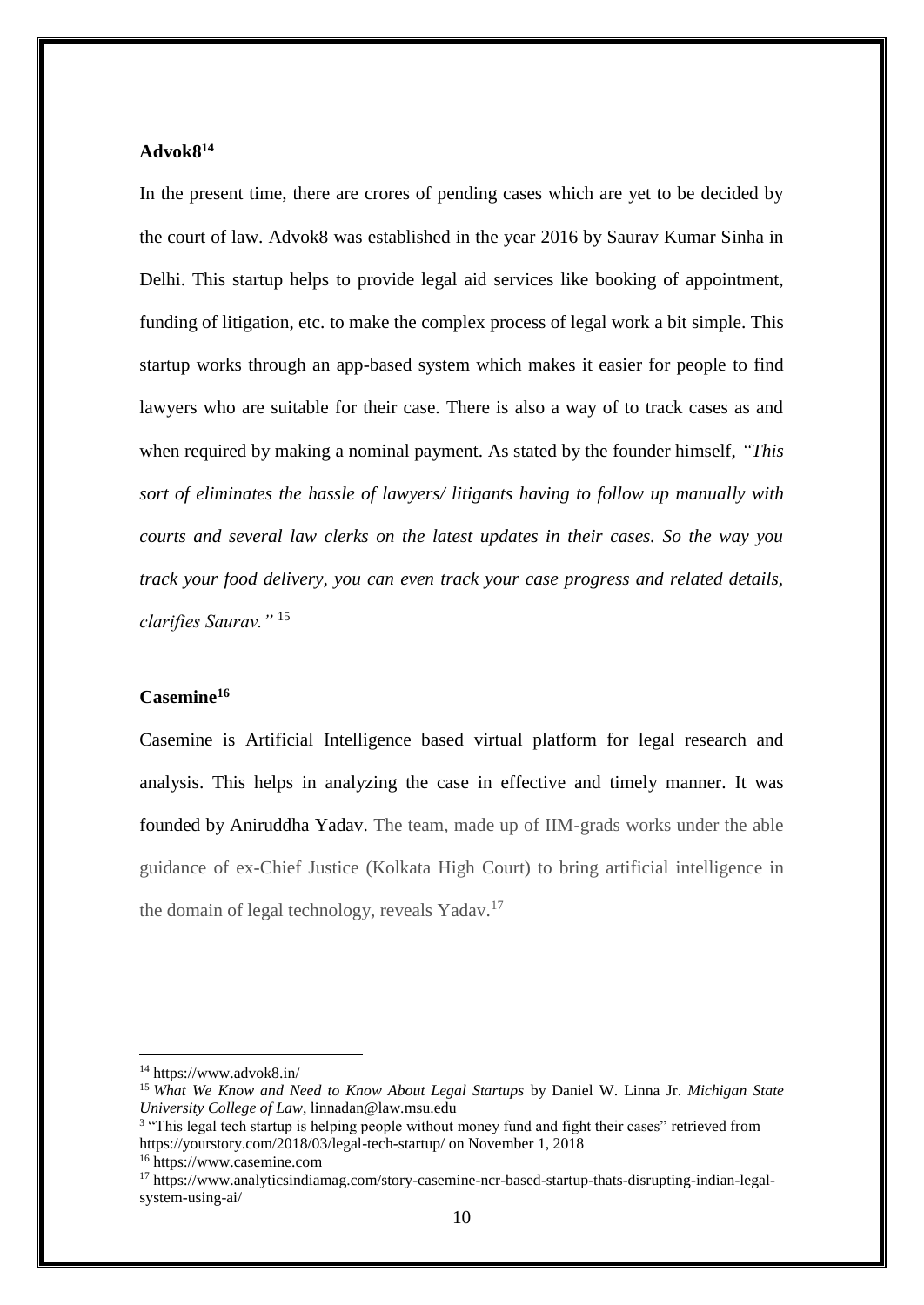## **Advok8<sup>14</sup>**

In the present time, there are crores of pending cases which are yet to be decided by the court of law. Advok8 was established in the year 2016 by Saurav Kumar Sinha in Delhi. This startup helps to provide legal aid services like booking of appointment, funding of litigation, etc. to make the complex process of legal work a bit simple. This startup works through an app-based system which makes it easier for people to find lawyers who are suitable for their case. There is also a way of to track cases as and when required by making a nominal payment. As stated by the founder himself, *"This sort of eliminates the hassle of lawyers/ litigants having to follow up manually with courts and several law clerks on the latest updates in their cases. So the way you track your food delivery, you can even track your case progress and related details, clarifies Saurav."* <sup>15</sup>

# **Casemine<sup>16</sup>**

Casemine is Artificial Intelligence based virtual platform for legal research and analysis. This helps in analyzing the case in effective and timely manner. It was founded by Aniruddha Yadav. The team, made up of IIM-grads works under the able guidance of ex-Chief Justice (Kolkata High Court) to bring artificial intelligence in the domain of legal technology, reveals Yadav.<sup>17</sup>

<sup>14</sup> https://www.advok8.in/

<sup>15</sup> *What We Know and Need to Know About Legal Startups* by Daniel W. Linna Jr. *Michigan State University College of Law*, linnadan@law.msu.edu

<sup>&</sup>lt;sup>3</sup> "This legal tech startup is helping people without money fund and fight their cases" retrieved from https://yourstory.com/2018/03/legal-tech-startup/ on November 1, 2018 <sup>16</sup> https://www.casemine.com

<sup>17</sup> https://www.analyticsindiamag.com/story-casemine-ncr-based-startup-thats-disrupting-indian-legalsystem-using-ai/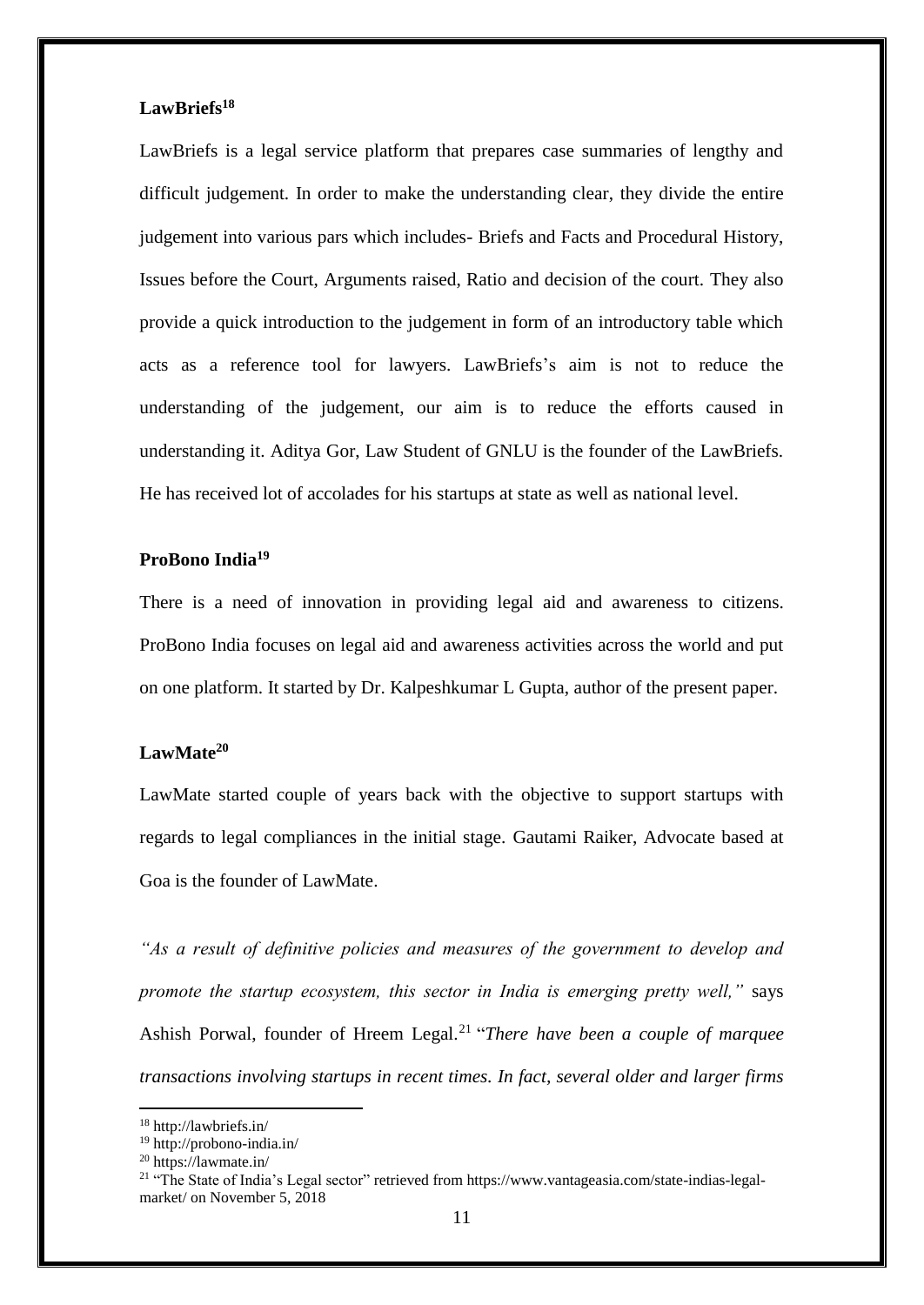#### **LawBriefs<sup>18</sup>**

LawBriefs is a legal service platform that prepares case summaries of lengthy and difficult judgement. In order to make the understanding clear, they divide the entire judgement into various pars which includes- Briefs and Facts and Procedural History, Issues before the Court, Arguments raised, Ratio and decision of the court. They also provide a quick introduction to the judgement in form of an introductory table which acts as a reference tool for lawyers. LawBriefs's aim is not to reduce the understanding of the judgement, our aim is to reduce the efforts caused in understanding it. Aditya Gor, Law Student of GNLU is the founder of the LawBriefs. He has received lot of accolades for his startups at state as well as national level.

# **ProBono India<sup>19</sup>**

There is a need of innovation in providing legal aid and awareness to citizens. ProBono India focuses on legal aid and awareness activities across the world and put on one platform. It started by Dr. Kalpeshkumar L Gupta, author of the present paper.

#### **LawMate<sup>20</sup>**

LawMate started couple of years back with the objective to support startups with regards to legal compliances in the initial stage. Gautami Raiker, Advocate based at Goa is the founder of LawMate.

*"As a result of definitive policies and measures of the government to develop and promote the startup ecosystem, this sector in India is emerging pretty well,"* says Ashish Porwal, founder of Hreem Legal.<sup>21</sup> "There have been a couple of marquee *transactions involving startups in recent times. In fact, several older and larger firms* 

<sup>18</sup> http://lawbriefs.in/

<sup>19</sup> http://probono-india.in/

<sup>20</sup> https://lawmate.in/

<sup>21</sup> "The State of India's Legal sector" retrieved from https://www.vantageasia.com/state-indias-legalmarket/ on November 5, 2018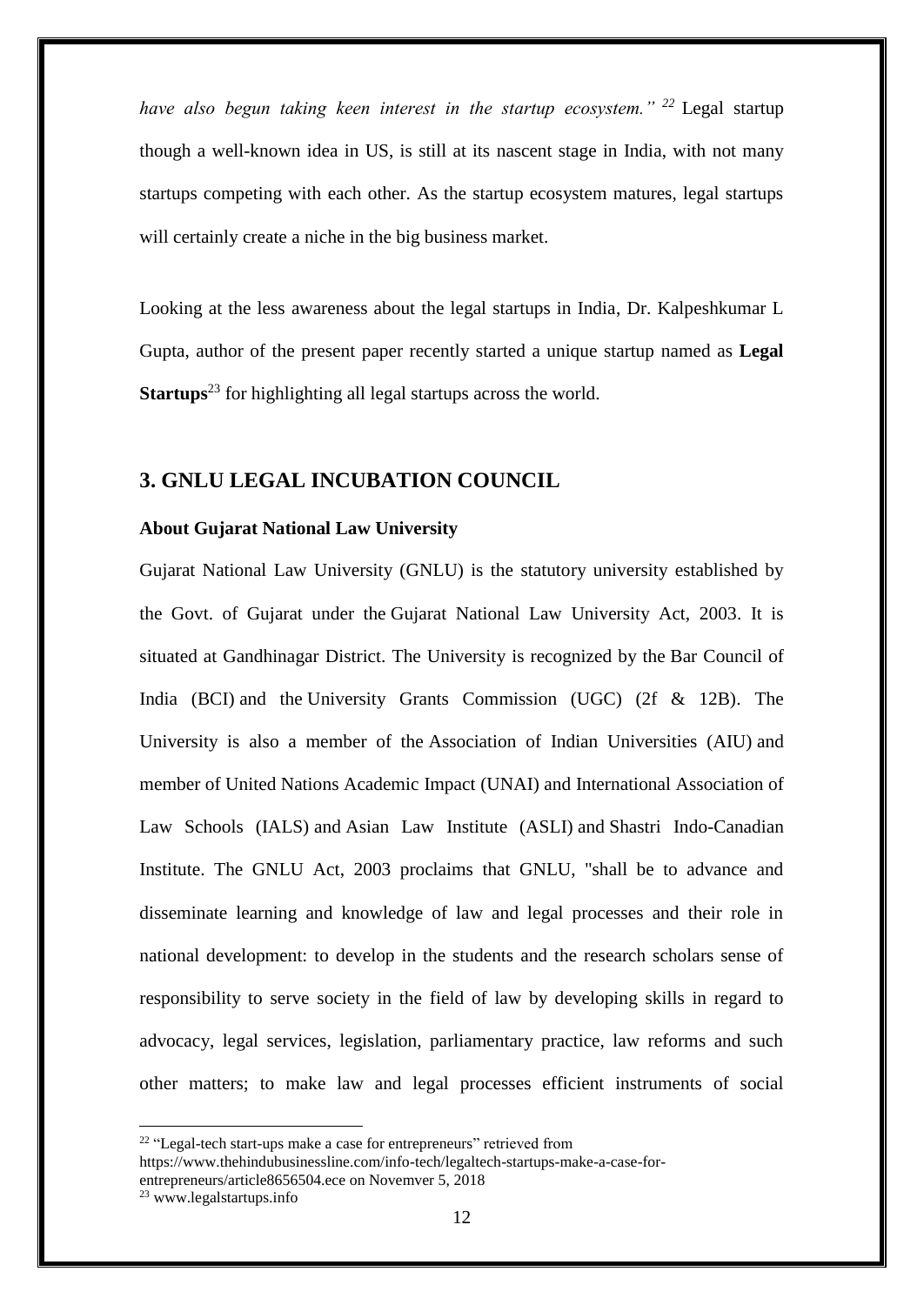*have also begun taking keen interest in the startup ecosystem." <sup>22</sup>* Legal startup though a well-known idea in US, is still at its nascent stage in India, with not many startups competing with each other. As the startup ecosystem matures, legal startups will certainly create a niche in the big business market.

Looking at the less awareness about the legal startups in India, Dr. Kalpeshkumar L Gupta, author of the present paper recently started a unique startup named as **Legal Startups**<sup>23</sup> for highlighting all legal startups across the world.

#### **3. GNLU LEGAL INCUBATION COUNCIL**

#### **About Gujarat National Law University**

Gujarat National Law University (GNLU) is the statutory university established by the Govt. of Gujarat under the [Gujarat National Law University Act, 2003.](https://www.gnlu.ac.in/Files/gazette.pdf) It is situated at Gandhinagar District. The University is recognized by the [Bar Council of](https://www.gnlu.ac.in/aad/bcirecoggnlu.pdf)  [India \(BCI\)](https://www.gnlu.ac.in/aad/bcirecoggnlu.pdf) and the [University Grants Commission \(UGC\) \(2f & 12B\).](https://www.gnlu.ac.in/Files/ugcrecoggnlu.pdf) The University is also a member of the [Association of Indian Universities \(AIU\)](https://www.gnlu.ac.in/Files/aiugnlu.pdf) and member of [United Nations Academic Impact \(UNAI\)](https://academicimpact.un.org/) and [International Association of](http://www.ialsnet.org/)  [Law Schools \(IALS\)](http://www.ialsnet.org/) and Asian Law Institute (ASLI) and [Shastri Indo-Canadian](http://www.sici.org/home/)  [Institute.](http://www.sici.org/home/) The GNLU Act, 2003 proclaims that GNLU, "shall be to advance and disseminate learning and knowledge of law and legal processes and their role in national development: to develop in the students and the research scholars sense of responsibility to serve society in the field of law by developing skills in regard to advocacy, legal services, legislation, parliamentary practice, law reforms and such other matters; to make law and legal processes efficient instruments of social

<sup>&</sup>lt;sup>22</sup> "Legal-tech start-ups make a case for entrepreneurs" retrieved from

https://www.thehindubusinessline.com/info-tech/legaltech-startups-make-a-case-for-

entrepreneurs/article8656504.ece on Novemver 5, 2018

<sup>23</sup> www.legalstartups.info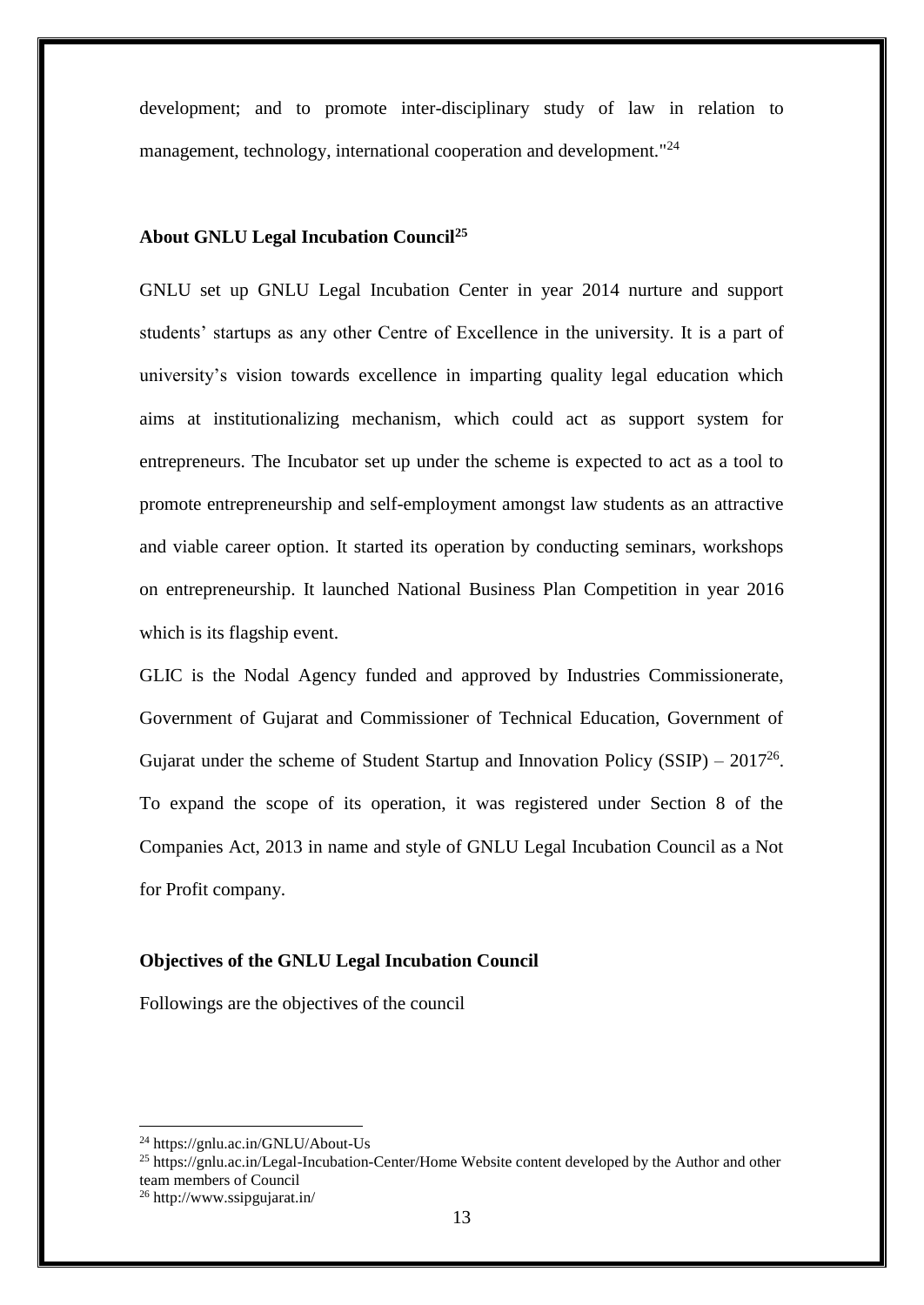development; and to promote inter-disciplinary study of law in relation to management, technology, international cooperation and development."<sup>24</sup>

#### **About GNLU Legal Incubation Council<sup>25</sup>**

GNLU set up GNLU Legal Incubation Center in year 2014 nurture and support students' startups as any other Centre of Excellence in the university. It is a part of university's vision towards excellence in imparting quality legal education which aims at institutionalizing mechanism, which could act as support system for entrepreneurs. The Incubator set up under the scheme is expected to act as a tool to promote entrepreneurship and self-employment amongst law students as an attractive and viable career option. It started its operation by conducting seminars, workshops on entrepreneurship. It launched National Business Plan Competition in year 2016 which is its flagship event.

GLIC is the Nodal Agency funded and approved by Industries Commissionerate, Government of Gujarat and Commissioner of Technical Education, Government of Gujarat under the scheme of Student Startup and Innovation Policy (SSIP) –  $2017^{26}$ . To expand the scope of its operation, it was registered under Section 8 of the Companies Act, 2013 in name and style of GNLU Legal Incubation Council as a Not for Profit company.

## **Objectives of the GNLU Legal Incubation Council**

Followings are the objectives of the council

<sup>24</sup> https://gnlu.ac.in/GNLU/About-Us

<sup>&</sup>lt;sup>25</sup> https://gnlu.ac.in/Legal-Incubation-Center/Home Website content developed by the Author and other team members of Council

<sup>26</sup> http://www.ssipgujarat.in/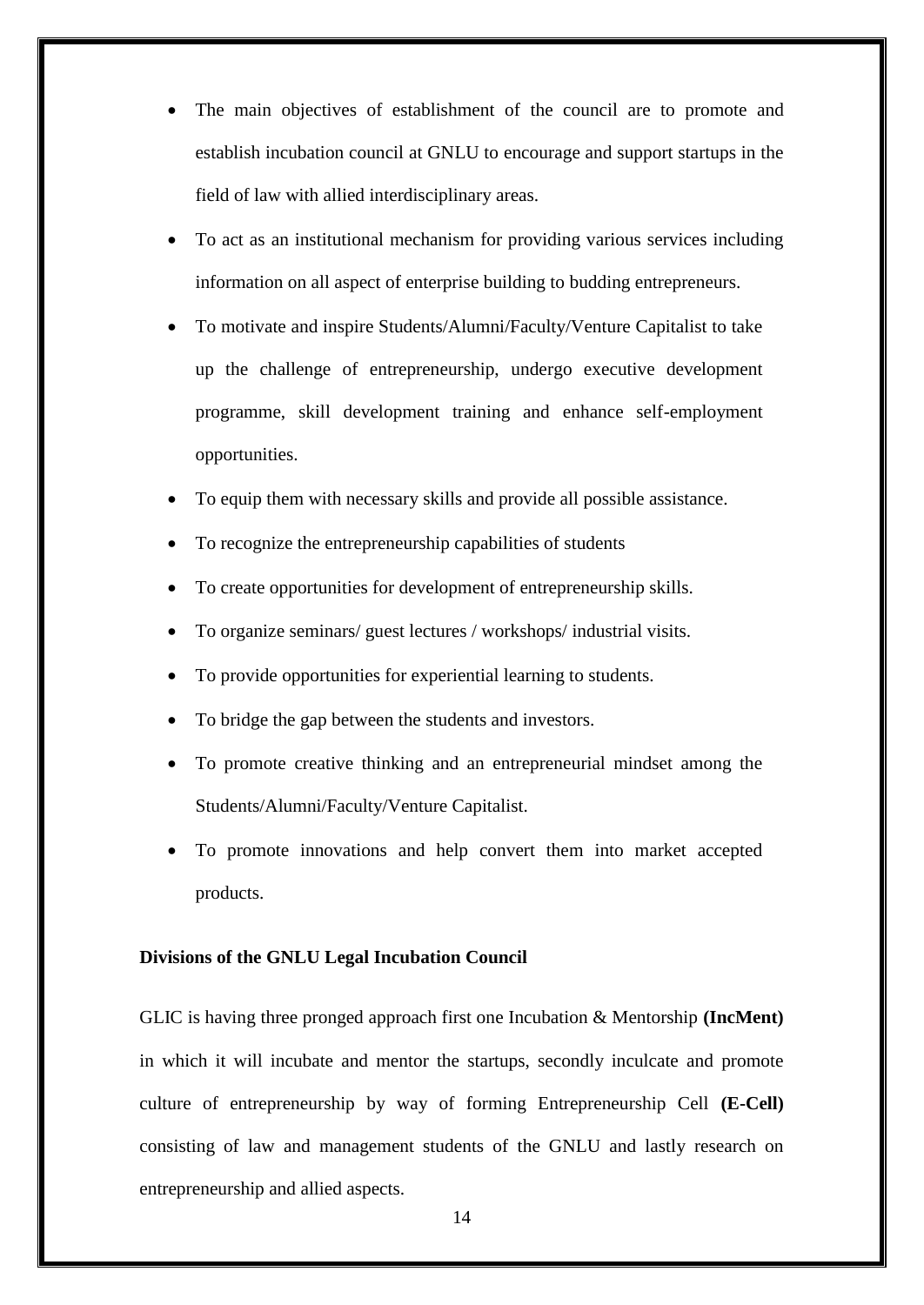- The main objectives of establishment of the council are to promote and establish incubation council at GNLU to encourage and support startups in the field of law with allied interdisciplinary areas.
- To act as an institutional mechanism for providing various services including information on all aspect of enterprise building to budding entrepreneurs.
- To motivate and inspire Students/Alumni/Faculty/Venture Capitalist to take up the challenge of entrepreneurship, undergo executive development programme, skill development training and enhance self-employment opportunities.
- To equip them with necessary skills and provide all possible assistance.
- To recognize the entrepreneurship capabilities of students
- To create opportunities for development of entrepreneurship skills.
- To organize seminars/ guest lectures / workshops/ industrial visits.
- To provide opportunities for experiential learning to students.
- To bridge the gap between the students and investors.
- To promote creative thinking and an entrepreneurial mindset among the Students/Alumni/Faculty/Venture Capitalist.
- To promote innovations and help convert them into market accepted products.

#### **Divisions of the GNLU Legal Incubation Council**

GLIC is having three pronged approach first one Incubation & Mentorship **(IncMent)** in which it will incubate and mentor the startups, secondly inculcate and promote culture of entrepreneurship by way of forming Entrepreneurship Cell **(E-Cell)** consisting of law and management students of the GNLU and lastly research on entrepreneurship and allied aspects.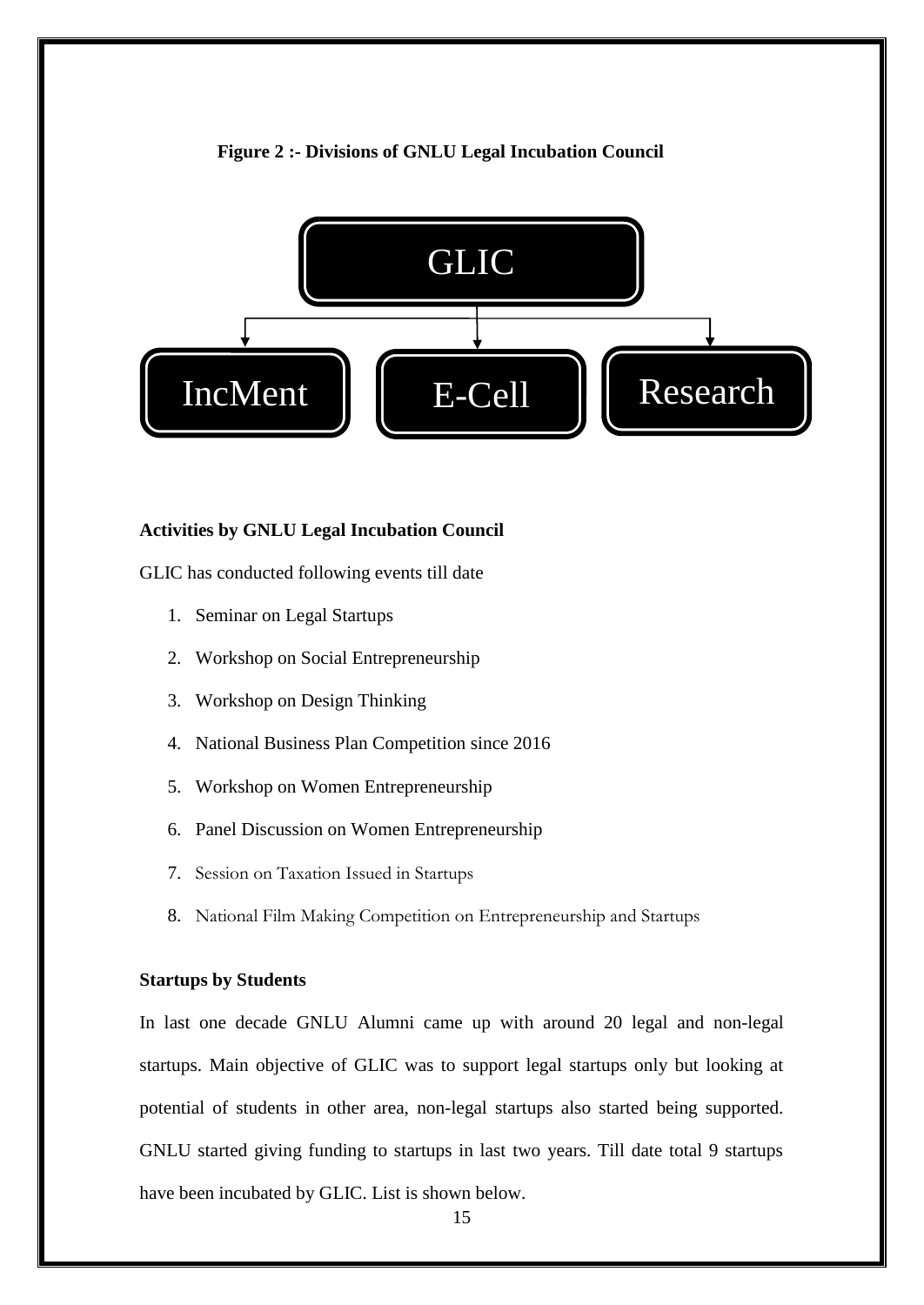#### **Figure 2 :- Divisions of GNLU Legal Incubation Council**



#### **Activities by GNLU Legal Incubation Council**

GLIC has conducted following events till date

- 1. Seminar on Legal Startups
- 2. Workshop on Social Entrepreneurship
- 3. Workshop on Design Thinking
- 4. National Business Plan Competition since 2016
- 5. Workshop on Women Entrepreneurship
- 6. Panel Discussion on Women Entrepreneurship
- 7. Session on Taxation Issued in Startups
- 8. National Film Making Competition on Entrepreneurship and Startups

#### **Startups by Students**

In last one decade GNLU Alumni came up with around 20 legal and non-legal startups. Main objective of GLIC was to support legal startups only but looking at potential of students in other area, non-legal startups also started being supported. GNLU started giving funding to startups in last two years. Till date total 9 startups have been incubated by GLIC. List is shown below.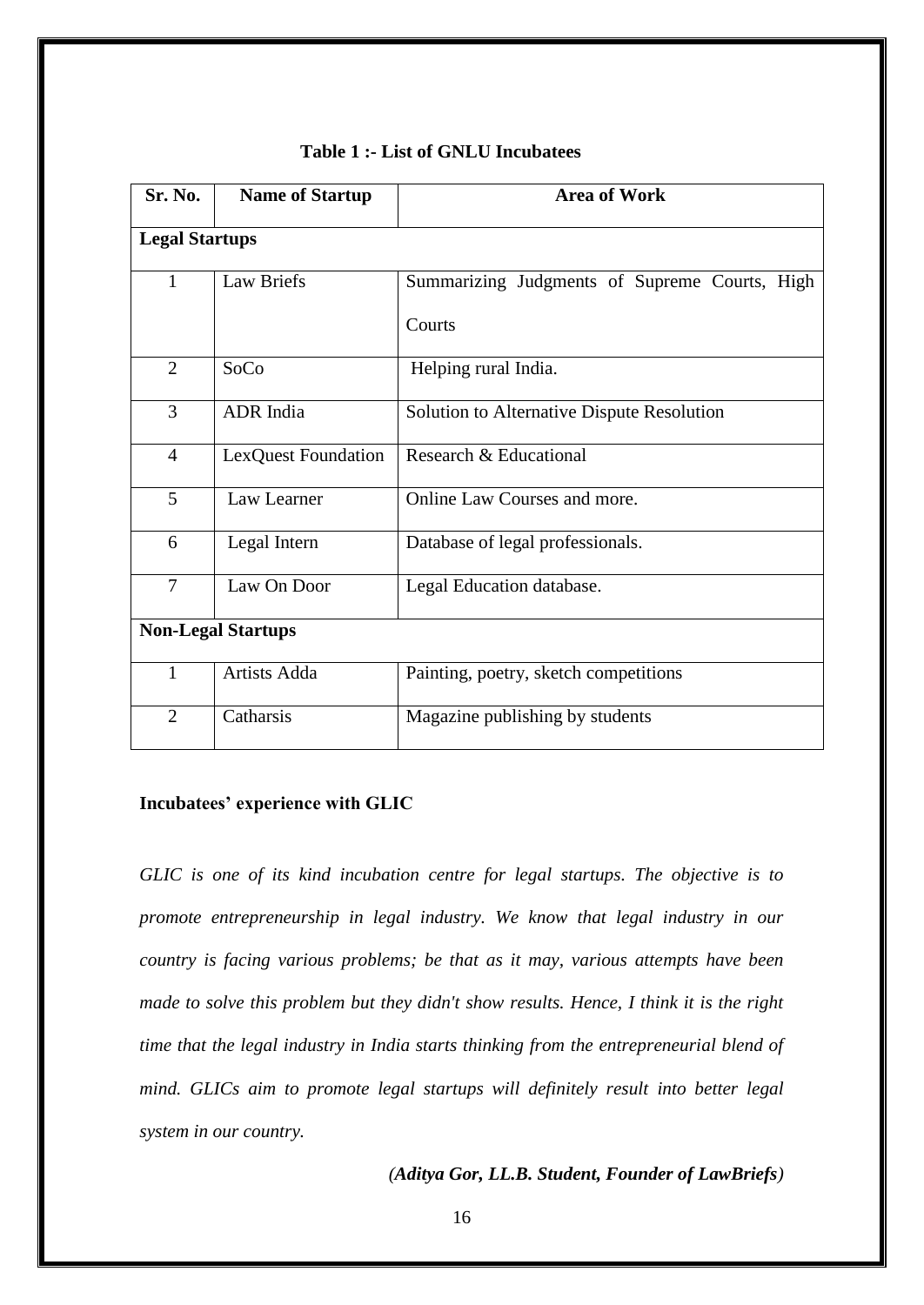| Sr. No.                   | <b>Name of Startup</b> | <b>Area of Work</b>                           |
|---------------------------|------------------------|-----------------------------------------------|
| <b>Legal Startups</b>     |                        |                                               |
| $\mathbf{1}$              | <b>Law Briefs</b>      | Summarizing Judgments of Supreme Courts, High |
|                           |                        | Courts                                        |
| $\overline{2}$            | SoCo                   | Helping rural India.                          |
| 3                         | ADR India              | Solution to Alternative Dispute Resolution    |
| $\overline{4}$            | LexQuest Foundation    | Research & Educational                        |
| 5                         | Law Learner            | Online Law Courses and more.                  |
| 6                         | Legal Intern           | Database of legal professionals.              |
| $\overline{7}$            | Law On Door            | Legal Education database.                     |
| <b>Non-Legal Startups</b> |                        |                                               |
| 1                         | Artists Adda           | Painting, poetry, sketch competitions         |
| $\overline{2}$            | Catharsis              | Magazine publishing by students               |

#### **Table 1 :- List of GNLU Incubatees**

## **Incubatees' experience with GLIC**

*GLIC is one of its kind incubation centre for legal startups. The objective is to promote entrepreneurship in legal industry. We know that legal industry in our country is facing various problems; be that as it may, various attempts have been made to solve this problem but they didn't show results. Hence, I think it is the right time that the legal industry in India starts thinking from the entrepreneurial blend of mind. GLICs aim to promote legal startups will definitely result into better legal system in our country.* 

#### *(Aditya Gor, LL.B. Student, Founder of LawBriefs)*